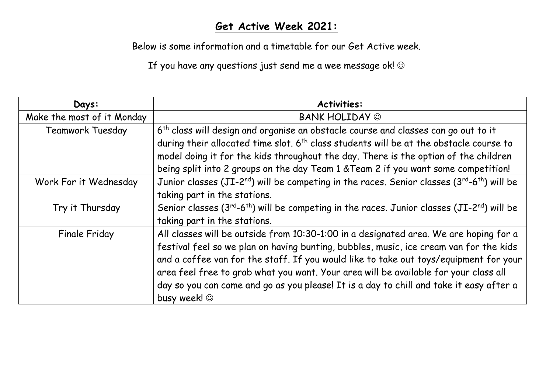## **Get Active Week 2021:**

Below is some information and a timetable for our Get Active week.

If you have any questions just send me a wee message ok!  $\odot$ 

| Days:                      | <b>Activities:</b>                                                                                                              |  |  |  |  |
|----------------------------|---------------------------------------------------------------------------------------------------------------------------------|--|--|--|--|
| Make the most of it Monday | <b>BANK HOLIDAY ©</b>                                                                                                           |  |  |  |  |
| <b>Teamwork Tuesday</b>    | 6 <sup>th</sup> class will design and organise an obstacle course and classes can go out to it                                  |  |  |  |  |
|                            | during their allocated time slot. 6 <sup>th</sup> class students will be at the obstacle course to                              |  |  |  |  |
|                            | model doing it for the kids throughout the day. There is the option of the children                                             |  |  |  |  |
|                            | being split into 2 groups on the day Team 1 & Team 2 if you want some competition!                                              |  |  |  |  |
| Work For it Wednesday      | Junior classes (JI-2 <sup>nd</sup> ) will be competing in the races. Senior classes (3 <sup>rd</sup> -6 <sup>th</sup> ) will be |  |  |  |  |
|                            | taking part in the stations.                                                                                                    |  |  |  |  |
| Try it Thursday            | Senior classes $(3^{rd}-6^{th})$ will be competing in the races. Junior classes $(JI-2^{nd})$ will be                           |  |  |  |  |
|                            | taking part in the stations.                                                                                                    |  |  |  |  |
| <b>Finale Friday</b>       | All classes will be outside from 10:30-1:00 in a designated area. We are hoping for a                                           |  |  |  |  |
|                            | festival feel so we plan on having bunting, bubbles, music, ice cream van for the kids                                          |  |  |  |  |
|                            | and a coffee van for the staff. If you would like to take out toys/equipment for your                                           |  |  |  |  |
|                            | area feel free to grab what you want. Your area will be available for your class all                                            |  |  |  |  |
|                            | day so you can come and go as you please! It is a day to chill and take it easy after a                                         |  |  |  |  |
|                            | busy week! ©                                                                                                                    |  |  |  |  |